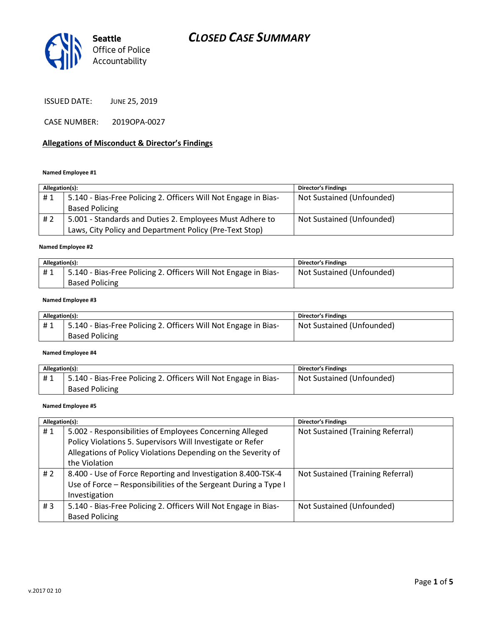

ISSUED DATE: JUNE 25, 2019

CASE NUMBER: 2019OPA-0027

### Allegations of Misconduct & Director's Findings

#### Named Employee #1

| Allegation(s): |                                                                 | <b>Director's Findings</b> |
|----------------|-----------------------------------------------------------------|----------------------------|
| #1             | 5.140 - Bias-Free Policing 2. Officers Will Not Engage in Bias- | Not Sustained (Unfounded)  |
|                | <b>Based Policing</b>                                           |                            |
| # 2            | 5.001 - Standards and Duties 2. Employees Must Adhere to        | Not Sustained (Unfounded)  |
|                | Laws, City Policy and Department Policy (Pre-Text Stop)         |                            |
|                |                                                                 |                            |

#### Named Employee #2

| Allegation(s): |                                                                 | <b>Director's Findings</b> |
|----------------|-----------------------------------------------------------------|----------------------------|
| #1             | 5.140 - Bias-Free Policing 2. Officers Will Not Engage in Bias- | Not Sustained (Unfounded)  |
|                | <b>Based Policing</b>                                           |                            |

### Named Employee #3

| Allegation(s): |                                                                 | <b>Director's Findings</b> |
|----------------|-----------------------------------------------------------------|----------------------------|
| #1             | 5.140 - Bias-Free Policing 2. Officers Will Not Engage in Bias- | Not Sustained (Unfounded)  |
|                | <b>Based Policing</b>                                           |                            |

#### Named Employee #4

| Allegation(s): |                                                                 | <b>Director's Findings</b> |
|----------------|-----------------------------------------------------------------|----------------------------|
| #1             | 5.140 - Bias-Free Policing 2. Officers Will Not Engage in Bias- | Not Sustained (Unfounded)  |
|                | <b>Based Policing</b>                                           |                            |

#### Named Employee #5

| Allegation(s):   |                                                                 | <b>Director's Findings</b>        |
|------------------|-----------------------------------------------------------------|-----------------------------------|
| #1               | 5.002 - Responsibilities of Employees Concerning Alleged        | Not Sustained (Training Referral) |
|                  | Policy Violations 5. Supervisors Will Investigate or Refer      |                                   |
|                  | Allegations of Policy Violations Depending on the Severity of   |                                   |
|                  | the Violation                                                   |                                   |
| #2               | 8.400 - Use of Force Reporting and Investigation 8.400-TSK-4    | Not Sustained (Training Referral) |
|                  | Use of Force - Responsibilities of the Sergeant During a Type I |                                   |
|                  | Investigation                                                   |                                   |
| # $\overline{3}$ | 5.140 - Bias-Free Policing 2. Officers Will Not Engage in Bias- | Not Sustained (Unfounded)         |
|                  | <b>Based Policing</b>                                           |                                   |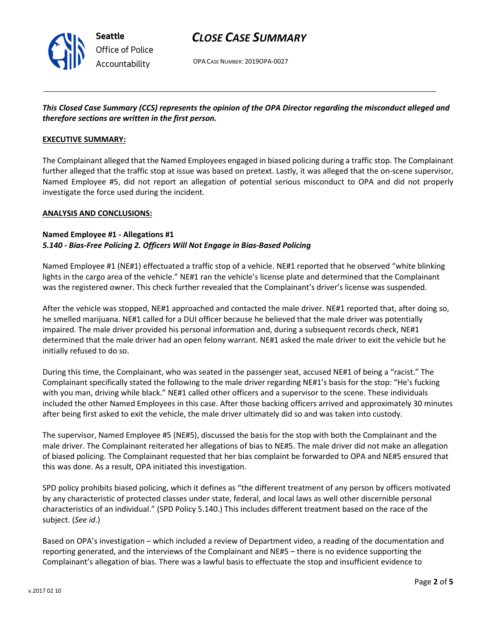

# CLOSE CASE SUMMARY

OPA CASE NUMBER: 2019OPA-0027

## This Closed Case Summary (CCS) represents the opinion of the OPA Director regarding the misconduct alleged and therefore sections are written in the first person.

### EXECUTIVE SUMMARY:

The Complainant alleged that the Named Employees engaged in biased policing during a traffic stop. The Complainant further alleged that the traffic stop at issue was based on pretext. Lastly, it was alleged that the on-scene supervisor, Named Employee #5, did not report an allegation of potential serious misconduct to OPA and did not properly investigate the force used during the incident.

### ANALYSIS AND CONCLUSIONS:

### Named Employee #1 - Allegations #1 5.140 - Bias-Free Policing 2. Officers Will Not Engage in Bias-Based Policing

Named Employee #1 (NE#1) effectuated a traffic stop of a vehicle. NE#1 reported that he observed "white blinking lights in the cargo area of the vehicle." NE#1 ran the vehicle's license plate and determined that the Complainant was the registered owner. This check further revealed that the Complainant's driver's license was suspended.

After the vehicle was stopped, NE#1 approached and contacted the male driver. NE#1 reported that, after doing so, he smelled marijuana. NE#1 called for a DUI officer because he believed that the male driver was potentially impaired. The male driver provided his personal information and, during a subsequent records check, NE#1 determined that the male driver had an open felony warrant. NE#1 asked the male driver to exit the vehicle but he initially refused to do so.

During this time, the Complainant, who was seated in the passenger seat, accused NE#1 of being a "racist." The Complainant specifically stated the following to the male driver regarding NE#1's basis for the stop: "He's fucking with you man, driving while black." NE#1 called other officers and a supervisor to the scene. These individuals included the other Named Employees in this case. After those backing officers arrived and approximately 30 minutes after being first asked to exit the vehicle, the male driver ultimately did so and was taken into custody.

The supervisor, Named Employee #5 (NE#5), discussed the basis for the stop with both the Complainant and the male driver. The Complainant reiterated her allegations of bias to NE#5. The male driver did not make an allegation of biased policing. The Complainant requested that her bias complaint be forwarded to OPA and NE#5 ensured that this was done. As a result, OPA initiated this investigation.

SPD policy prohibits biased policing, which it defines as "the different treatment of any person by officers motivated by any characteristic of protected classes under state, federal, and local laws as well other discernible personal characteristics of an individual." (SPD Policy 5.140.) This includes different treatment based on the race of the subject. (See id.)

Based on OPA's investigation – which included a review of Department video, a reading of the documentation and reporting generated, and the interviews of the Complainant and NE#5 – there is no evidence supporting the Complainant's allegation of bias. There was a lawful basis to effectuate the stop and insufficient evidence to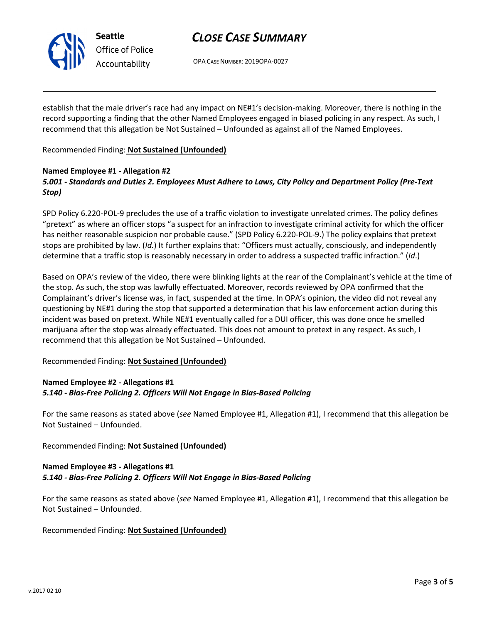

Seattle Office of Police Accountability

# CLOSE CASE SUMMARY

OPA CASE NUMBER: 2019OPA-0027

establish that the male driver's race had any impact on NE#1's decision-making. Moreover, there is nothing in the record supporting a finding that the other Named Employees engaged in biased policing in any respect. As such, I recommend that this allegation be Not Sustained – Unfounded as against all of the Named Employees.

Recommended Finding: Not Sustained (Unfounded)

### Named Employee #1 - Allegation #2 5.001 - Standards and Duties 2. Employees Must Adhere to Laws, City Policy and Department Policy (Pre-Text Stop)

SPD Policy 6.220-POL-9 precludes the use of a traffic violation to investigate unrelated crimes. The policy defines "pretext" as where an officer stops "a suspect for an infraction to investigate criminal activity for which the officer has neither reasonable suspicion nor probable cause." (SPD Policy 6.220-POL-9.) The policy explains that pretext stops are prohibited by law. (Id.) It further explains that: "Officers must actually, consciously, and independently determine that a traffic stop is reasonably necessary in order to address a suspected traffic infraction." (Id.)

Based on OPA's review of the video, there were blinking lights at the rear of the Complainant's vehicle at the time of the stop. As such, the stop was lawfully effectuated. Moreover, records reviewed by OPA confirmed that the Complainant's driver's license was, in fact, suspended at the time. In OPA's opinion, the video did not reveal any questioning by NE#1 during the stop that supported a determination that his law enforcement action during this incident was based on pretext. While NE#1 eventually called for a DUI officer, this was done once he smelled marijuana after the stop was already effectuated. This does not amount to pretext in any respect. As such, I recommend that this allegation be Not Sustained – Unfounded.

Recommended Finding: Not Sustained (Unfounded)

## Named Employee #2 - Allegations #1 5.140 - Bias-Free Policing 2. Officers Will Not Engage in Bias-Based Policing

For the same reasons as stated above (see Named Employee #1, Allegation #1), I recommend that this allegation be Not Sustained – Unfounded.

Recommended Finding: Not Sustained (Unfounded)

## Named Employee #3 - Allegations #1 5.140 - Bias-Free Policing 2. Officers Will Not Engage in Bias-Based Policing

For the same reasons as stated above (see Named Employee #1, Allegation #1), I recommend that this allegation be Not Sustained – Unfounded.

Recommended Finding: Not Sustained (Unfounded)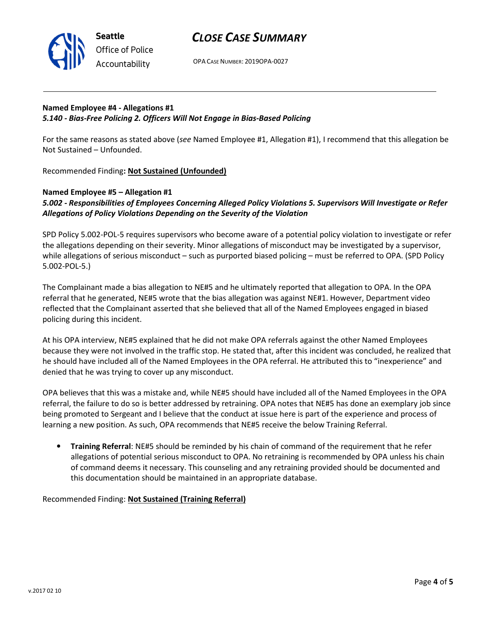

Office of Police Accountability

# CLOSE CASE SUMMARY

OPA CASE NUMBER: 2019OPA-0027

## Named Employee #4 - Allegations #1 5.140 - Bias-Free Policing 2. Officers Will Not Engage in Bias-Based Policing

For the same reasons as stated above (see Named Employee #1, Allegation #1), I recommend that this allegation be Not Sustained – Unfounded.

Recommended Finding: Not Sustained (Unfounded)

## Named Employee #5 – Allegation #1 5.002 - Responsibilities of Employees Concerning Alleged Policy Violations 5. Supervisors Will Investigate or Refer Allegations of Policy Violations Depending on the Severity of the Violation

SPD Policy 5.002-POL-5 requires supervisors who become aware of a potential policy violation to investigate or refer the allegations depending on their severity. Minor allegations of misconduct may be investigated by a supervisor, while allegations of serious misconduct – such as purported biased policing – must be referred to OPA. (SPD Policy 5.002-POL-5.)

The Complainant made a bias allegation to NE#5 and he ultimately reported that allegation to OPA. In the OPA referral that he generated, NE#5 wrote that the bias allegation was against NE#1. However, Department video reflected that the Complainant asserted that she believed that all of the Named Employees engaged in biased policing during this incident.

At his OPA interview, NE#5 explained that he did not make OPA referrals against the other Named Employees because they were not involved in the traffic stop. He stated that, after this incident was concluded, he realized that he should have included all of the Named Employees in the OPA referral. He attributed this to "inexperience" and denied that he was trying to cover up any misconduct.

OPA believes that this was a mistake and, while NE#5 should have included all of the Named Employees in the OPA referral, the failure to do so is better addressed by retraining. OPA notes that NE#5 has done an exemplary job since being promoted to Sergeant and I believe that the conduct at issue here is part of the experience and process of learning a new position. As such, OPA recommends that NE#5 receive the below Training Referral.

• Training Referral: NE#5 should be reminded by his chain of command of the requirement that he refer allegations of potential serious misconduct to OPA. No retraining is recommended by OPA unless his chain of command deems it necessary. This counseling and any retraining provided should be documented and this documentation should be maintained in an appropriate database.

Recommended Finding: Not Sustained (Training Referral)